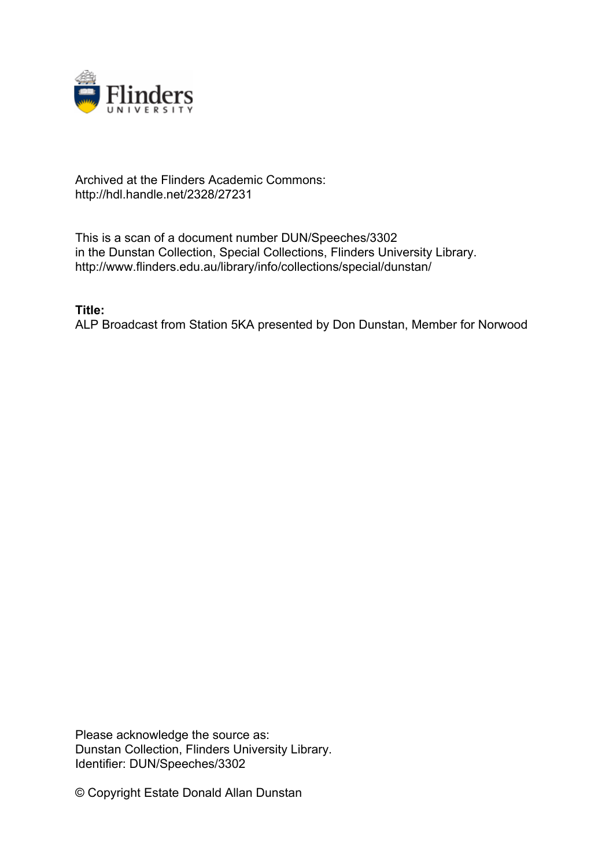

## Archived at the Flinders Academic Commons: http://hdl.handle.net/2328/27231

This is a scan of a document number DUN/Speeches/3302 in the Dunstan Collection, Special Collections, Flinders University Library. http://www.flinders.edu.au/library/info/collections/special/dunstan/

**Title:**

ALP Broadcast from Station 5KA presented by Don Dunstan, Member for Norwood

Please acknowledge the source as: Dunstan Collection, Flinders University Library. Identifier: DUN/Speeches/3302

© Copyright Estate Donald Allan Dunstan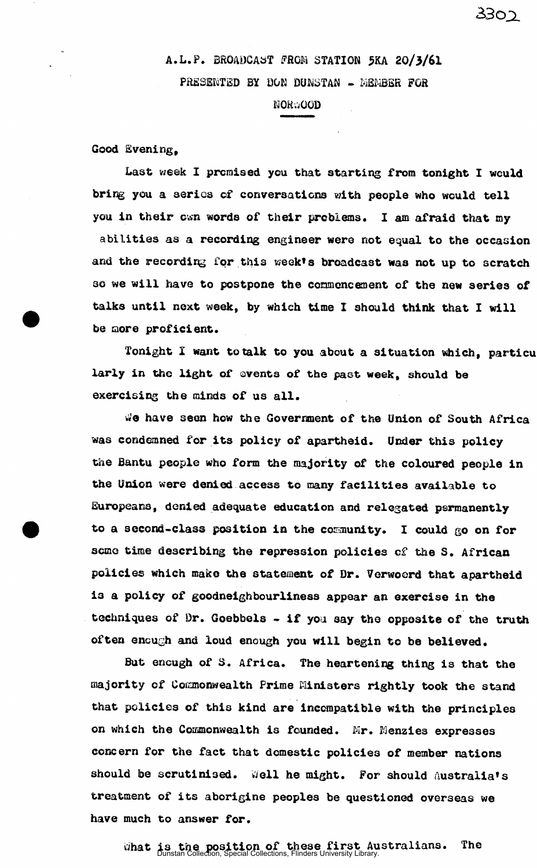## A.L.P. BROADCAST FROM STATION 5KA 20/3/61 PRESENTED BY DON DUNSTAN - MEMBER FOR

## NORWOOD

Good Evening,

Last week I promised you that starting from tonight I would bring you a series of conversations with people who would tell you in their cwn words of their problems. I am afraid that my

abilities as a recording engineer were not equal to the occasion and the recording for this week's broadcast was not up to scratch so we will have to postpone the commencement of the new series of talks until next week, by which time I should think that I will be more proficient.

Tonight I want to talk to you about a situation which, particu larly in the light of events of the past week, should be exercising the minds of us all.

We have seen how the Government of the Union of South Africa was condemned for its policy of apartheid. Under this policy the Bantu people who form the majority of the coloured people in the Union were denied access to many facilities available to Europeans, denied adequate education and relegated permanently to a second-class position in the community. I could go on for some time describing the repression policies of the S. African policies which make the statement of Dr. Verwoerd that apartheid is a policy of goodneighbourliness appear an exercise in the techniques of Dr. Goebbels - if you say the opposite of the truth often enough and loud enough you will begin to be believed.

But encugh of S. Africa. The heartening thing is that the majority of Commonwealth Prime Ministers rightly took the stand that policies of this kind are incompatible with the principles on which the Commonwealth is founded. Mr. Menzies expresses concern for the fact that domestic policies of member nations should be scrutinised. Well he might. For should Australia's treatment of its aborigine peoples be questioned overseas we have much to answer for.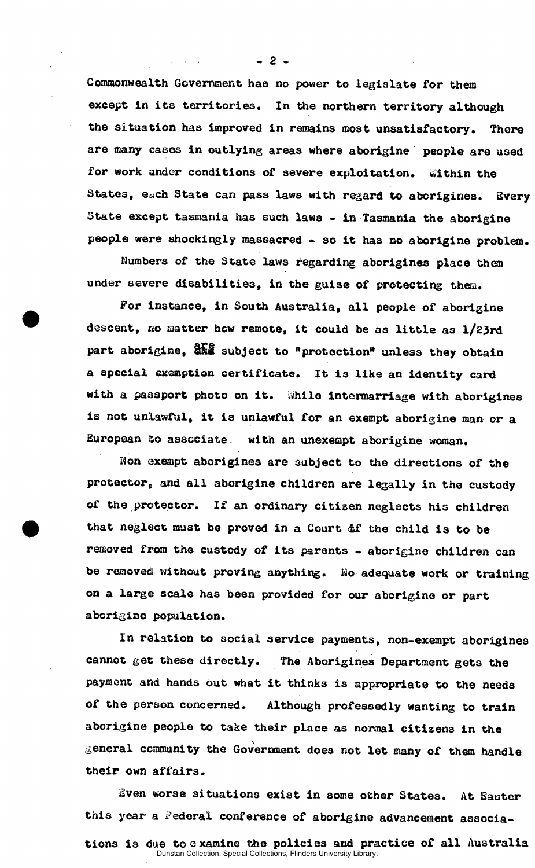Commonwealth Government has no power to legislate for them except in its territories. In the northern territory although the situation has improved in remains most unsatisfactory. There are many cases in outlying areas where aborigine ' people are used for work under conditions of severe exploitation. Within the States, each State can pass laws with regard to aborigines. Every State except tasmania has such laws - in Tasmania the aborigine people were shockingly massacred - so it has no aborigine problem.

Numbers of the State laws regarding aborigines place them under severe disabilities, in the guise of protecting them.

For instance, in South Australia, all people of aborigine descent, no matter how remote, it could be as little as 1/23rd part aborigine,  $\frac{dN}{dx}$  subject to "protection" unless they obtain a special exemption certificate. It is like an identity card with a passport photo on it. While intermarriage with aborigines is not unlawful, it is unlawful for an exempt aborigine man or a European to associate with an unexempt aborigine woman.

Non exempt aborigines are subject to the directions of the protector, and all aborigine children are legally in the custody of the protector. If an ordinary citizen neglects his children that neglect must be proved in a Court if the child is to be removed from the custody of its parents - aborigine children can be removed without proving anything. No adequate work or training on a large scale has been provided for our aborigine or part aborigine population.

In relation to social service payments, non-exempt aborigines cannot get these directly. The Aborigines Department gets the payment and hands out what it thinks is appropriate to the needs of the person concerned. Although professedly wanting to train aborigine people to take their place as normal citizens in the general community the Government does not let many of them handle their own affairs.

Even worse situations exist in some other States. At Easter this year a Federal conference of aborigine advancement associa-

- 2 -